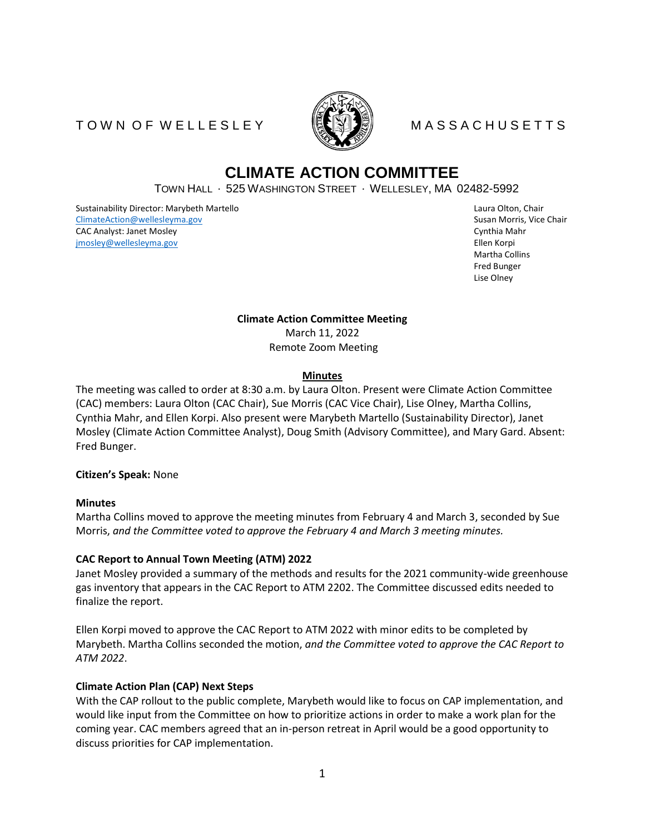# TO WN OF WELLESLEY MALE MASSACHUSETTS



# **CLIMATE ACTION COMMITTEE**

TOWN HALL ∙ 525 WASHINGTON STREET ∙ WELLESLEY, MA 02482-5992

Sustainability Director: Marybeth Martello **Laura Olton, Chair** Chair Chair Chair Chair Chair Chair Chair Chair Chair Chair Chair Chair Chair Chair Chair Chair Chair Chair Chair Chair Chair Chair Chair Chair Chair Chair Ch [ClimateAction@wellesleyma.gov](mailto:ClimateAction@wellesleyma.gov) Susan Morris, Vice Chair CAC Analyst: Janet Mosley Cynthia Mahr [jmosley@wellesleyma.gov](mailto:jmosley@wellesleyma.gov) Ellen Korpi

Martha Collins Fred Bunger Lise Olney

**Climate Action Committee Meeting** March 11, 2022 Remote Zoom Meeting

### **Minutes**

The meeting was called to order at 8:30 a.m. by Laura Olton. Present were Climate Action Committee (CAC) members: Laura Olton (CAC Chair), Sue Morris (CAC Vice Chair), Lise Olney, Martha Collins, Cynthia Mahr, and Ellen Korpi. Also present were Marybeth Martello (Sustainability Director), Janet Mosley (Climate Action Committee Analyst), Doug Smith (Advisory Committee), and Mary Gard. Absent: Fred Bunger.

# **Citizen's Speak:** None

#### **Minutes**

Martha Collins moved to approve the meeting minutes from February 4 and March 3, seconded by Sue Morris, *and the Committee voted to approve the February 4 and March 3 meeting minutes.* 

# **CAC Report to Annual Town Meeting (ATM) 2022**

Janet Mosley provided a summary of the methods and results for the 2021 community-wide greenhouse gas inventory that appears in the CAC Report to ATM 2202. The Committee discussed edits needed to finalize the report.

Ellen Korpi moved to approve the CAC Report to ATM 2022 with minor edits to be completed by Marybeth. Martha Collins seconded the motion, *and the Committee voted to approve the CAC Report to ATM 2022*.

# **Climate Action Plan (CAP) Next Steps**

With the CAP rollout to the public complete, Marybeth would like to focus on CAP implementation, and would like input from the Committee on how to prioritize actions in order to make a work plan for the coming year. CAC members agreed that an in-person retreat in April would be a good opportunity to discuss priorities for CAP implementation.